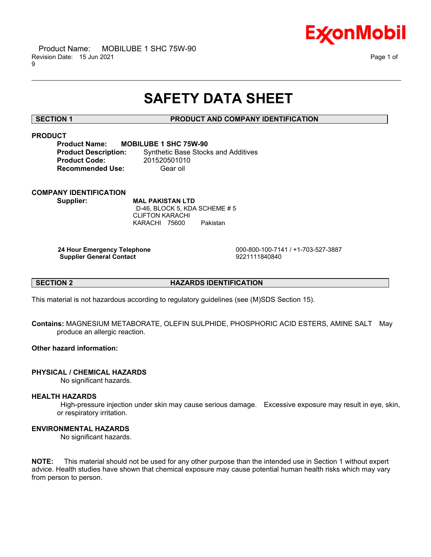

# **SAFETY DATA SHEET**

\_\_\_\_\_\_\_\_\_\_\_\_\_\_\_\_\_\_\_\_\_\_\_\_\_\_\_\_\_\_\_\_\_\_\_\_\_\_\_\_\_\_\_\_\_\_\_\_\_\_\_\_\_\_\_\_\_\_\_\_\_\_\_\_\_\_\_\_\_\_\_\_\_\_\_\_\_\_\_\_\_\_\_\_\_\_\_\_\_\_\_\_\_\_\_\_\_\_\_\_\_\_\_\_\_\_\_\_\_\_\_\_\_\_\_\_\_\_

### **SECTION 1 PRODUCT AND COMPANY IDENTIFICATION**

## **PRODUCT**

**Product Name: MOBILUBE 1 SHC 75W-90 Product Code:** 201520501010

**Product Description:** Synthetic Base Stocks and Additives **Recommended Use:** Gear oil

# **COMPANY IDENTIFICATION**

**Supplier: MAL PAKISTAN LTD** D-46, BLOCK 5, KDA SCHEME # 5 CLIFTON KARACHI KARACHI 75600 Pakistan

**Supplier General Contact** 

 **24 Hour Emergency Telephone** 000-800-100-7141 / +1-703-527-3887

**SECTION 2 HAZARDS IDENTIFICATION** 

This material is not hazardous according to regulatory guidelines (see (M)SDS Section 15).

**Contains:** MAGNESIUM METABORATE, OLEFIN SULPHIDE, PHOSPHORIC ACID ESTERS, AMINE SALT May produce an allergic reaction.

### **Other hazard information:**

### **PHYSICAL / CHEMICAL HAZARDS**

No significant hazards.

### **HEALTH HAZARDS**

 High-pressure injection under skin may cause serious damage. Excessive exposure may result in eye, skin, or respiratory irritation.

### **ENVIRONMENTAL HAZARDS**

No significant hazards.

**NOTE:** This material should not be used for any other purpose than the intended use in Section 1 without expert advice. Health studies have shown that chemical exposure may cause potential human health risks which may vary from person to person.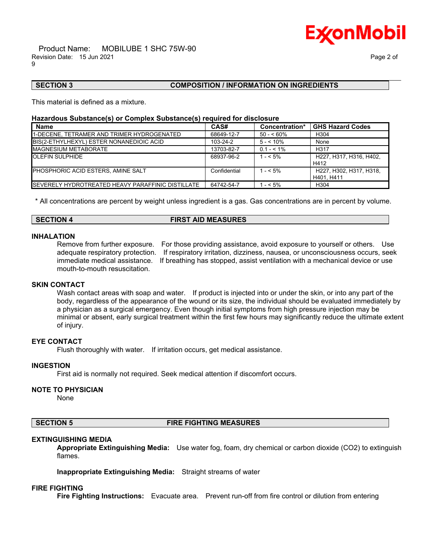

### **SECTION 3 COMPOSITION / INFORMATION ON INGREDIENTS**

This material is defined as a mixture.

#### **Hazardous Substance(s) or Complex Substance(s) required for disclosure**

| <b>Name</b>                                               | CAS#         | Concentration* | <b>GHS Hazard Codes</b>               |
|-----------------------------------------------------------|--------------|----------------|---------------------------------------|
| 1-DECENE, TETRAMER AND TRIMER HYDROGENATED                | 68649-12-7   | $50 - 60\%$    | H <sub>304</sub>                      |
| BIS(2-ETHYLHEXYL) ESTER NONANEDIOIC ACID                  | 103-24-2     | $5 - 10\%$     | None                                  |
| <b>MAGNESIUM METABORATE</b>                               | 13703-82-7   | $0.1 - 5.1\%$  | H <sub>317</sub>                      |
| <b>OLEFIN SULPHIDE</b>                                    | 68937-96-2   | $1 - 5\%$      | H227. H317. H316. H402.<br>H412       |
| PHOSPHORIC ACID ESTERS, AMINE SALT                        | Confidential | $1 - 5\%$      | H227, H302, H317, H318,<br>H401. H411 |
| <b>ISEVERELY HYDROTREATED HEAVY PARAFFINIC DISTILLATE</b> | 64742-54-7   | $- < 5\%$      | H <sub>304</sub>                      |

\_\_\_\_\_\_\_\_\_\_\_\_\_\_\_\_\_\_\_\_\_\_\_\_\_\_\_\_\_\_\_\_\_\_\_\_\_\_\_\_\_\_\_\_\_\_\_\_\_\_\_\_\_\_\_\_\_\_\_\_\_\_\_\_\_\_\_\_\_\_\_\_\_\_\_\_\_\_\_\_\_\_\_\_\_\_\_\_\_\_\_\_\_\_\_\_\_\_\_\_\_\_\_\_\_\_\_\_\_\_\_\_\_\_\_\_\_\_

\* All concentrations are percent by weight unless ingredient is a gas. Gas concentrations are in percent by volume.

### **SECTION 4 FIRST AID MEASURES**

#### **INHALATION**

mouth-to-mouth resuscitation.

Remove from further exposure. For those providing assistance, avoid exposure to yourself or others. Use adequate respiratory protection. If respiratory irritation, dizziness, nausea, or unconsciousness occurs, seek immediate medical assistance. If breathing has stopped, assist ventilation with a mechanical device or use

#### **SKIN CONTACT**

Wash contact areas with soap and water. If product is injected into or under the skin, or into any part of the body, regardless of the appearance of the wound or its size, the individual should be evaluated immediately by a physician as a surgical emergency. Even though initial symptoms from high pressure injection may be minimal or absent, early surgical treatment within the first few hours may significantly reduce the ultimate extent of injury.

#### **EYE CONTACT**

Flush thoroughly with water. If irritation occurs, get medical assistance.

#### **INGESTION**

First aid is normally not required. Seek medical attention if discomfort occurs.

#### **NOTE TO PHYSICIAN**

None

#### **SECTION 5 FIRE FIGHTING MEASURES**

#### **EXTINGUISHING MEDIA**

**Appropriate Extinguishing Media:** Use water fog, foam, dry chemical or carbon dioxide (CO2) to extinguish flames.

**Inappropriate Extinguishing Media:** Straight streams of water

#### **FIRE FIGHTING**

**Fire Fighting Instructions:** Evacuate area. Prevent run-off from fire control or dilution from entering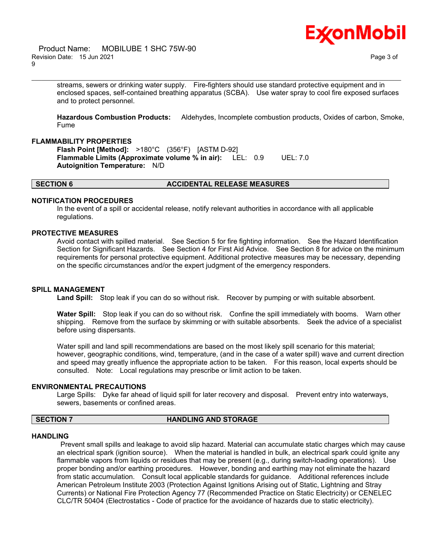



streams, sewers or drinking water supply. Fire-fighters should use standard protective equipment and in enclosed spaces, self-contained breathing apparatus (SCBA). Use water spray to cool fire exposed surfaces and to protect personnel.

\_\_\_\_\_\_\_\_\_\_\_\_\_\_\_\_\_\_\_\_\_\_\_\_\_\_\_\_\_\_\_\_\_\_\_\_\_\_\_\_\_\_\_\_\_\_\_\_\_\_\_\_\_\_\_\_\_\_\_\_\_\_\_\_\_\_\_\_\_\_\_\_\_\_\_\_\_\_\_\_\_\_\_\_\_\_\_\_\_\_\_\_\_\_\_\_\_\_\_\_\_\_\_\_\_\_\_\_\_\_\_\_\_\_\_\_\_\_

**Hazardous Combustion Products:** Aldehydes, Incomplete combustion products, Oxides of carbon, Smoke, Fume

#### **FLAMMABILITY PROPERTIES**

**Flash Point [Method]:** >180°C (356°F) [ASTM D-92] **Flammable Limits (Approximate volume % in air):** LEL: 0.9 UEL: 7.0 **Autoignition Temperature:** N/D

#### **SECTION 6 ACCIDENTAL RELEASE MEASURES**

#### **NOTIFICATION PROCEDURES**

In the event of a spill or accidental release, notify relevant authorities in accordance with all applicable regulations.

### **PROTECTIVE MEASURES**

Avoid contact with spilled material. See Section 5 for fire fighting information. See the Hazard Identification Section for Significant Hazards. See Section 4 for First Aid Advice. See Section 8 for advice on the minimum requirements for personal protective equipment. Additional protective measures may be necessary, depending on the specific circumstances and/or the expert judgment of the emergency responders.

#### **SPILL MANAGEMENT**

**Land Spill:** Stop leak if you can do so without risk. Recover by pumping or with suitable absorbent.

**Water Spill:** Stop leak if you can do so without risk. Confine the spill immediately with booms. Warn other shipping. Remove from the surface by skimming or with suitable absorbents. Seek the advice of a specialist before using dispersants.

Water spill and land spill recommendations are based on the most likely spill scenario for this material; however, geographic conditions, wind, temperature, (and in the case of a water spill) wave and current direction and speed may greatly influence the appropriate action to be taken. For this reason, local experts should be consulted. Note: Local regulations may prescribe or limit action to be taken.

#### **ENVIRONMENTAL PRECAUTIONS**

Large Spills: Dyke far ahead of liquid spill for later recovery and disposal. Prevent entry into waterways, sewers, basements or confined areas.

#### **SECTION 7 HANDLING AND STORAGE**

#### **HANDLING**

 Prevent small spills and leakage to avoid slip hazard. Material can accumulate static charges which may cause an electrical spark (ignition source). When the material is handled in bulk, an electrical spark could ignite any flammable vapors from liquids or residues that may be present (e.g., during switch-loading operations). Use proper bonding and/or earthing procedures. However, bonding and earthing may not eliminate the hazard from static accumulation. Consult local applicable standards for guidance. Additional references include American Petroleum Institute 2003 (Protection Against Ignitions Arising out of Static, Lightning and Stray Currents) or National Fire Protection Agency 77 (Recommended Practice on Static Electricity) or CENELEC CLC/TR 50404 (Electrostatics - Code of practice for the avoidance of hazards due to static electricity).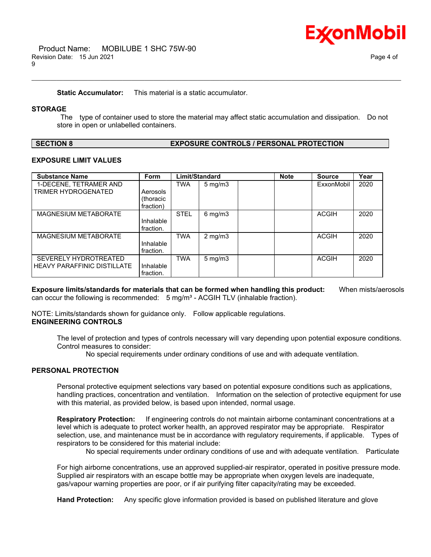**Static Accumulator:** This material is a static accumulator.

#### **STORAGE**

 The type of container used to store the material may affect static accumulation and dissipation. Do not store in open or unlabelled containers.

\_\_\_\_\_\_\_\_\_\_\_\_\_\_\_\_\_\_\_\_\_\_\_\_\_\_\_\_\_\_\_\_\_\_\_\_\_\_\_\_\_\_\_\_\_\_\_\_\_\_\_\_\_\_\_\_\_\_\_\_\_\_\_\_\_\_\_\_\_\_\_\_\_\_\_\_\_\_\_\_\_\_\_\_\_\_\_\_\_\_\_\_\_\_\_\_\_\_\_\_\_\_\_\_\_\_\_\_\_\_\_\_\_\_\_\_\_\_

| <b>SECTION 8</b> |  |
|------------------|--|
|------------------|--|

#### **EXPOSURE CONTROLS / PERSONAL PROTECTION**

### **EXPOSURE LIMIT VALUES**

| <b>Substance Name</b>         | Form      | Limit/Standard |                     | <b>Note</b> | <b>Source</b> | Year |
|-------------------------------|-----------|----------------|---------------------|-------------|---------------|------|
| 1-DECENE, TETRAMER AND        |           | TWA            | $5 \text{ mg/m}$    |             | ExxonMobil    | 2020 |
| TRIMER HYDROGENATED           | Aerosols  |                |                     |             |               |      |
|                               | (thoracic |                |                     |             |               |      |
|                               | fraction) |                |                     |             |               |      |
| MAGNESIUM METABORATE          |           | <b>STEL</b>    | $6 \,\mathrm{mg/m}$ |             | <b>ACGIH</b>  | 2020 |
|                               | Inhalable |                |                     |             |               |      |
|                               | fraction. |                |                     |             |               |      |
| MAGNESIUM METABORATE          |           | <b>TWA</b>     | $2$ mg/m $3$        |             | <b>ACGIH</b>  | 2020 |
|                               | Inhalable |                |                     |             |               |      |
|                               | fraction. |                |                     |             |               |      |
| SEVERELY HYDROTREATED         |           | <b>TWA</b>     | $5 \text{ mg/m}$    |             | <b>ACGIH</b>  | 2020 |
| I HEAVY PARAFFINIC DISTILLATE | Inhalable |                |                     |             |               |      |
|                               | fraction. |                |                     |             |               |      |

**Exposure limits/standards for materials that can be formed when handling this product:** When mists/aerosols can occur the following is recommended: 5 mg/m<sup>3</sup> - ACGIH TLV (inhalable fraction).

NOTE: Limits/standards shown for guidance only. Follow applicable regulations. **ENGINEERING CONTROLS**

The level of protection and types of controls necessary will vary depending upon potential exposure conditions. Control measures to consider:

No special requirements under ordinary conditions of use and with adequate ventilation.

### **PERSONAL PROTECTION**

Personal protective equipment selections vary based on potential exposure conditions such as applications, handling practices, concentration and ventilation. Information on the selection of protective equipment for use with this material, as provided below, is based upon intended, normal usage.

**Respiratory Protection:** If engineering controls do not maintain airborne contaminant concentrations at a level which is adequate to protect worker health, an approved respirator may be appropriate. Respirator selection, use, and maintenance must be in accordance with regulatory requirements, if applicable. Types of respirators to be considered for this material include:

No special requirements under ordinary conditions of use and with adequate ventilation. Particulate

For high airborne concentrations, use an approved supplied-air respirator, operated in positive pressure mode. Supplied air respirators with an escape bottle may be appropriate when oxygen levels are inadequate, gas/vapour warning properties are poor, or if air purifying filter capacity/rating may be exceeded.

**Hand Protection:** Any specific glove information provided is based on published literature and glove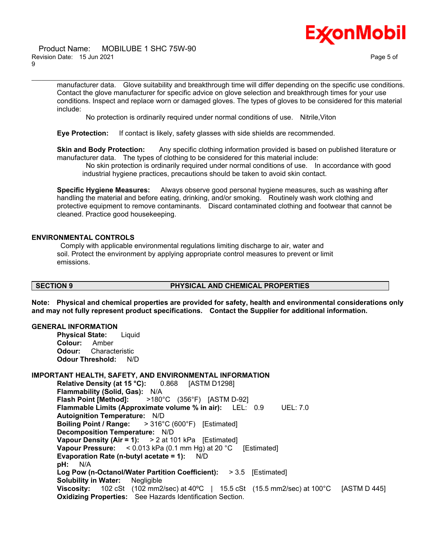

#### Product Name: MOBILUBE 1 SHC 75W-90 Revision Date: 15 Jun 2021 Page 5 of 9

manufacturer data. Glove suitability and breakthrough time will differ depending on the specific use conditions. Contact the glove manufacturer for specific advice on glove selection and breakthrough times for your use conditions. Inspect and replace worn or damaged gloves. The types of gloves to be considered for this material include:

No protection is ordinarily required under normal conditions of use. Nitrile,Viton

\_\_\_\_\_\_\_\_\_\_\_\_\_\_\_\_\_\_\_\_\_\_\_\_\_\_\_\_\_\_\_\_\_\_\_\_\_\_\_\_\_\_\_\_\_\_\_\_\_\_\_\_\_\_\_\_\_\_\_\_\_\_\_\_\_\_\_\_\_\_\_\_\_\_\_\_\_\_\_\_\_\_\_\_\_\_\_\_\_\_\_\_\_\_\_\_\_\_\_\_\_\_\_\_\_\_\_\_\_\_\_\_\_\_\_\_\_\_

**Eye Protection:** If contact is likely, safety glasses with side shields are recommended.

**Skin and Body Protection:** Any specific clothing information provided is based on published literature or manufacturer data. The types of clothing to be considered for this material include:

 No skin protection is ordinarily required under normal conditions of use. In accordance with good industrial hygiene practices, precautions should be taken to avoid skin contact.

**Specific Hygiene Measures:** Always observe good personal hygiene measures, such as washing after handling the material and before eating, drinking, and/or smoking. Routinely wash work clothing and protective equipment to remove contaminants. Discard contaminated clothing and footwear that cannot be cleaned. Practice good housekeeping.

### **ENVIRONMENTAL CONTROLS**

 Comply with applicable environmental regulations limiting discharge to air, water and soil. Protect the environment by applying appropriate control measures to prevent or limit emissions.

### **SECTION 9 PHYSICAL AND CHEMICAL PROPERTIES**

**Note: Physical and chemical properties are provided for safety, health and environmental considerations only and may not fully represent product specifications. Contact the Supplier for additional information.**

#### **GENERAL INFORMATION**

**Physical State:** Liquid **Colour:** Amber **Odour:** Characteristic **Odour Threshold:** N/D

#### **IMPORTANT HEALTH, SAFETY, AND ENVIRONMENTAL INFORMATION**

**Relative Density (at 15 °C):** 0.868 [ASTM D1298] **Flammability (Solid, Gas):** N/A **Flash Point [Method]:** >180°C (356°F) [ASTM D-92] **Flammable Limits (Approximate volume % in air):** LEL: 0.9 UEL: 7.0 **Autoignition Temperature:** N/D **Boiling Point / Range:** > 316°C (600°F) [Estimated] **Decomposition Temperature:** N/D **Vapour Density (Air = 1):** > 2 at 101 kPa [Estimated] **Vapour Pressure:** < 0.013 kPa (0.1 mm Hg) at 20 °C [Estimated] **Evaporation Rate (n-butyl acetate = 1):** N/D **pH:** N/A **Log Pow (n-Octanol/Water Partition Coefficient):** > 3.5 [Estimated] **Solubility in Water:** Negligible **Viscosity:** 102 cSt (102 mm2/sec) at 40ºC | 15.5 cSt (15.5 mm2/sec) at 100°C [ASTM D 445] **Oxidizing Properties:** See Hazards Identification Section.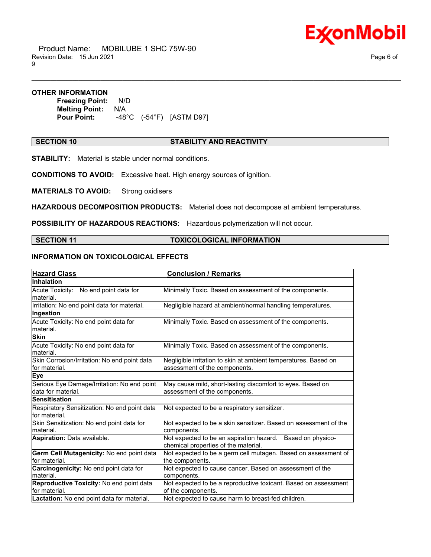

 Product Name: MOBILUBE 1 SHC 75W-90 Revision Date: 15 Jun 2021 2008 12:30 Page 6 of 9

#### **OTHER INFORMATION**

**Freezing Point:** N/D **Melting Point:** N/A **Pour Point:** -48°C (-54°F) [ASTM D97]

#### **SECTION 10 STABILITY AND REACTIVITY**

\_\_\_\_\_\_\_\_\_\_\_\_\_\_\_\_\_\_\_\_\_\_\_\_\_\_\_\_\_\_\_\_\_\_\_\_\_\_\_\_\_\_\_\_\_\_\_\_\_\_\_\_\_\_\_\_\_\_\_\_\_\_\_\_\_\_\_\_\_\_\_\_\_\_\_\_\_\_\_\_\_\_\_\_\_\_\_\_\_\_\_\_\_\_\_\_\_\_\_\_\_\_\_\_\_\_\_\_\_\_\_\_\_\_\_\_\_\_

**STABILITY:** Material is stable under normal conditions.

**CONDITIONS TO AVOID:** Excessive heat. High energy sources of ignition.

**MATERIALS TO AVOID:** Strong oxidisers

**HAZARDOUS DECOMPOSITION PRODUCTS:** Material does not decompose at ambient temperatures.

**POSSIBILITY OF HAZARDOUS REACTIONS:** Hazardous polymerization will not occur.

**SECTION 11 TOXICOLOGICAL INFORMATION**

### **INFORMATION ON TOXICOLOGICAL EFFECTS**

| <b>Hazard Class</b>                                               | <b>Conclusion / Remarks</b>                                                                        |
|-------------------------------------------------------------------|----------------------------------------------------------------------------------------------------|
| Inhalation                                                        |                                                                                                    |
| Acute Toxicity: No end point data for<br>lmaterial.               | Minimally Toxic. Based on assessment of the components.                                            |
| Irritation: No end point data for material.                       | Negligible hazard at ambient/normal handling temperatures.                                         |
| Ingestion                                                         |                                                                                                    |
| Acute Toxicity: No end point data for<br>lmaterial.               | Minimally Toxic. Based on assessment of the components.                                            |
| <b>Skin</b>                                                       |                                                                                                    |
| Acute Toxicity: No end point data for<br>lmaterial.               | Minimally Toxic. Based on assessment of the components.                                            |
| Skin Corrosion/Irritation: No end point data<br>lfor material.    | Negligible irritation to skin at ambient temperatures. Based on<br>assessment of the components.   |
| Eye                                                               |                                                                                                    |
| Serious Eye Damage/Irritation: No end point<br>data for material. | May cause mild, short-lasting discomfort to eyes. Based on<br>assessment of the components.        |
| <b>Sensitisation</b>                                              |                                                                                                    |
| Respiratory Sensitization: No end point data<br>lfor material.    | Not expected to be a respiratory sensitizer.                                                       |
| Skin Sensitization: No end point data for<br>material.            | Not expected to be a skin sensitizer. Based on assessment of the<br>components.                    |
| Aspiration: Data available.                                       | Not expected to be an aspiration hazard. Based on physico-<br>chemical properties of the material. |
| Germ Cell Mutagenicity: No end point data<br>lfor material.       | Not expected to be a germ cell mutagen. Based on assessment of<br>the components.                  |
| Carcinogenicity: No end point data for<br>lmaterial.              | Not expected to cause cancer. Based on assessment of the<br>components.                            |
| Reproductive Toxicity: No end point data<br>lfor material.        | Not expected to be a reproductive toxicant. Based on assessment<br>of the components.              |
| Lactation: No end point data for material.                        | Not expected to cause harm to breast-fed children.                                                 |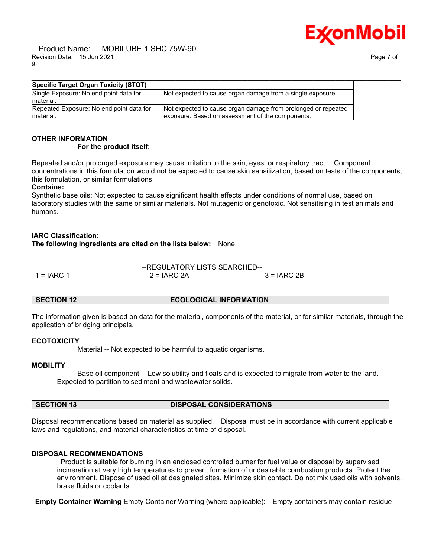Product Name: MOBILUBE 1 SHC 75W-90 Revision Date: 15 Jun 2021 Page 7 of 9



| <b>Specific Target Organ Toxicity (STOT)</b>           |                                                                                                                   |
|--------------------------------------------------------|-------------------------------------------------------------------------------------------------------------------|
| Single Exposure: No end point data for<br>lmaterial.   | Not expected to cause organ damage from a single exposure.                                                        |
| Repeated Exposure: No end point data for<br>lmaterial. | Not expected to cause organ damage from prolonged or repeated<br>exposure. Based on assessment of the components. |
|                                                        |                                                                                                                   |

# **OTHER INFORMATION**

### **For the product itself:**

Repeated and/or prolonged exposure may cause irritation to the skin, eyes, or respiratory tract. Component concentrations in this formulation would not be expected to cause skin sensitization, based on tests of the components, this formulation, or similar formulations.

#### **Contains:**

Synthetic base oils: Not expected to cause significant health effects under conditions of normal use, based on laboratory studies with the same or similar materials. Not mutagenic or genotoxic. Not sensitising in test animals and humans.

### **IARC Classification:**

**The following ingredients are cited on the lists below:** None.

|            | --REGULATORY LISTS SEARCHED-- |              |  |
|------------|-------------------------------|--------------|--|
| 1 = IARC 1 | $2 = IARC 2A$                 | $3 = IARC2B$ |  |

**SECTION 12 ECOLOGICAL INFORMATION** 

The information given is based on data for the material, components of the material, or for similar materials, through the application of bridging principals.

### **ECOTOXICITY**

Material -- Not expected to be harmful to aquatic organisms.

### **MOBILITY**

 Base oil component -- Low solubility and floats and is expected to migrate from water to the land. Expected to partition to sediment and wastewater solids.

### **SECTION 13 DISPOSAL CONSIDERATIONS**

Disposal recommendations based on material as supplied. Disposal must be in accordance with current applicable laws and regulations, and material characteristics at time of disposal.

### **DISPOSAL RECOMMENDATIONS**

 Product is suitable for burning in an enclosed controlled burner for fuel value or disposal by supervised incineration at very high temperatures to prevent formation of undesirable combustion products. Protect the environment. Dispose of used oil at designated sites. Minimize skin contact. Do not mix used oils with solvents, brake fluids or coolants.

**Empty Container Warning** Empty Container Warning (where applicable): Empty containers may contain residue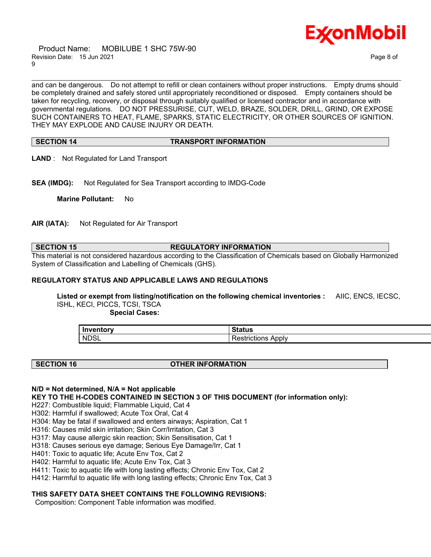

 Product Name: MOBILUBE 1 SHC 75W-90 Revision Date: 15 Jun 2021 Page 8 of 9

and can be dangerous. Do not attempt to refill or clean containers without proper instructions. Empty drums should be completely drained and safely stored until appropriately reconditioned or disposed. Empty containers should be taken for recycling, recovery, or disposal through suitably qualified or licensed contractor and in accordance with governmental regulations. DO NOT PRESSURISE, CUT, WELD, BRAZE, SOLDER, DRILL, GRIND, OR EXPOSE SUCH CONTAINERS TO HEAT, FLAME, SPARKS, STATIC ELECTRICITY, OR OTHER SOURCES OF IGNITION. THEY MAY EXPLODE AND CAUSE INJURY OR DEATH.

\_\_\_\_\_\_\_\_\_\_\_\_\_\_\_\_\_\_\_\_\_\_\_\_\_\_\_\_\_\_\_\_\_\_\_\_\_\_\_\_\_\_\_\_\_\_\_\_\_\_\_\_\_\_\_\_\_\_\_\_\_\_\_\_\_\_\_\_\_\_\_\_\_\_\_\_\_\_\_\_\_\_\_\_\_\_\_\_\_\_\_\_\_\_\_\_\_\_\_\_\_\_\_\_\_\_\_\_\_\_\_\_\_\_\_\_\_\_

### **SECTION 14 TRANSPORT INFORMATION**

**LAND** : Not Regulated for Land Transport

**SEA (IMDG):** Not Regulated for Sea Transport according to IMDG-Code

**Marine Pollutant:** No

**AIR (IATA):** Not Regulated for Air Transport

### **SECTION 15 REGULATORY INFORMATION**

This material is not considered hazardous according to the Classification of Chemicals based on Globally Harmonized System of Classification and Labelling of Chemicals (GHS).

#### **REGULATORY STATUS AND APPLICABLE LAWS AND REGULATIONS**

**Listed or exempt from listing/notification on the following chemical inventories :** AIIC, ENCS, IECSC, ISHL, KECI, PICCS, TCSI, TSCA

 **Special Cases:**

| Inventory   | 24<br>วเสเนธ                                   |
|-------------|------------------------------------------------|
| <b>NDSL</b> | Apply<br>rictions<br>esu<br>. <del>. .</del> . |

#### **SECTION 16 OTHER INFORMATION**

### **N/D = Not determined, N/A = Not applicable**

**KEY TO THE H-CODES CONTAINED IN SECTION 3 OF THIS DOCUMENT (for information only):**

H227: Combustible liquid; Flammable Liquid, Cat 4

H302: Harmful if swallowed; Acute Tox Oral, Cat 4

H304: May be fatal if swallowed and enters airways; Aspiration, Cat 1

H316: Causes mild skin irritation; Skin Corr/Irritation, Cat 3

H317: May cause allergic skin reaction; Skin Sensitisation, Cat 1

H318: Causes serious eye damage; Serious Eye Damage/Irr, Cat 1

H401: Toxic to aquatic life; Acute Env Tox, Cat 2

H402: Harmful to aquatic life; Acute Env Tox, Cat 3

H411: Toxic to aquatic life with long lasting effects; Chronic Env Tox, Cat 2

H412: Harmful to aquatic life with long lasting effects; Chronic Env Tox, Cat 3

### **THIS SAFETY DATA SHEET CONTAINS THE FOLLOWING REVISIONS:**

Composition: Component Table information was modified.